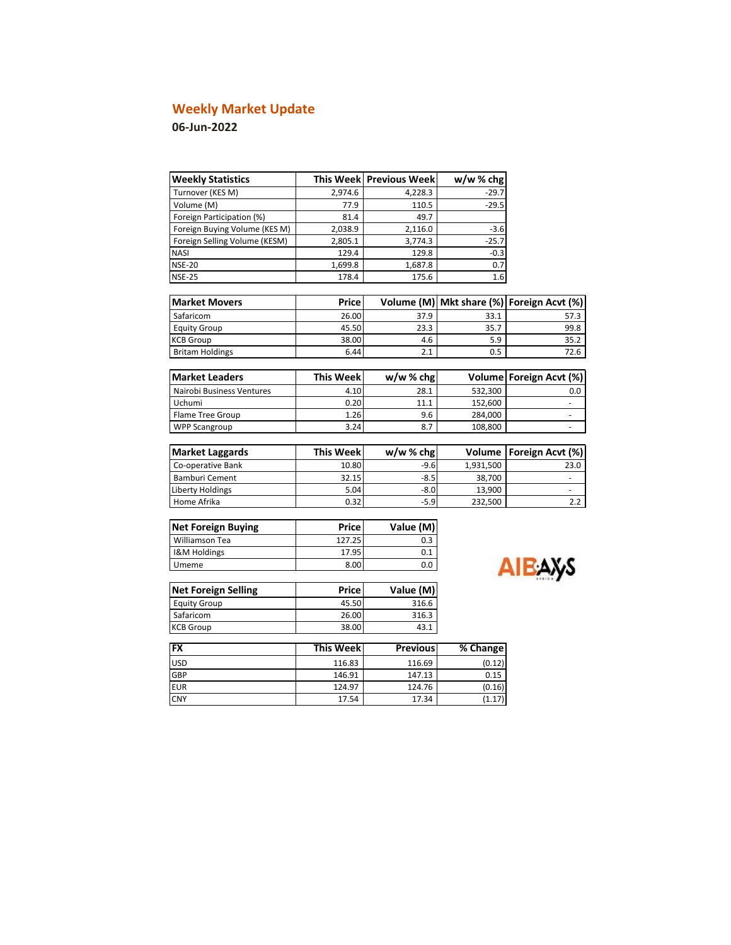# **Weekly Market Update**

## **06-Jun-2022**

| <b>Weekly Statistics</b>      |                  | This Week Previous Week | w/w%chg   |                                |
|-------------------------------|------------------|-------------------------|-----------|--------------------------------|
| Turnover (KES M)              | 2.974.6          | 4,228.3                 | $-29.7$   |                                |
| Volume (M)                    | 77.9             | 110.5                   | $-29.5$   |                                |
| Foreign Participation (%)     | 81.4             | 49.7                    |           |                                |
| Foreign Buying Volume (KES M) | 2,038.9          | 2,116.0                 | $-3.6$    |                                |
| Foreign Selling Volume (KESM) | 2,805.1          | 3,774.3                 | $-25.7$   |                                |
| <b>NASI</b>                   | 129.4            | 129.8                   | $-0.3$    |                                |
| <b>NSE-20</b>                 | 1,699.8          | 1,687.8                 | 0.7       |                                |
| <b>NSE-25</b>                 | 178.4            | 175.6                   | 1.6       |                                |
| <b>Market Movers</b>          | Price            | Volume (M)              |           | Mkt share (%) Foreign Acvt (%) |
| Safaricom                     | 26.00            | 37.9                    | 33.1      | 57.3                           |
| <b>Equity Group</b>           | 45.50            | 23.3                    | 35.7      | 99.8                           |
| <b>KCB Group</b>              | 38.00            | 4.6                     | 5.9       | 35.2                           |
| <b>Britam Holdings</b>        | 6.44             | 2.1                     | 0.5       | 72.6                           |
|                               |                  |                         |           |                                |
| <b>Market Leaders</b>         | <b>This Week</b> | w/w%chg                 | Volume    | Foreign Acvt (%)               |
| Nairobi Business Ventures     | 4.10             | 28.1                    | 532,300   | 0.0                            |
| Uchumi                        | 0.20             | 11.1                    | 152,600   | $\frac{1}{2}$                  |
| <b>Flame Tree Group</b>       | 1.26             | 9.6                     | 284,000   |                                |
| <b>WPP Scangroup</b>          | 3.24             | 8.7                     | 108,800   | ٠                              |
|                               |                  |                         |           |                                |
| <b>Market Laggards</b>        | <b>This Week</b> | w/w%chg                 | Volume    | Foreign Acvt (%)               |
| Co-operative Bank             | 10.80            | $-9.6$                  | 1,931,500 | 23.0                           |
| <b>Bamburi Cement</b>         | 32.15            | $-8.5$                  | 38,700    | ÷,                             |
| Liberty Holdings              | 5.04             | $-8.0$                  | 13,900    |                                |
| Home Afrika                   | 0.32             | $-5.9$                  | 232,500   | 2.2                            |
| <b>Net Foreign Buying</b>     | <b>Price</b>     | Value (M)               |           |                                |
| Williamson Tea                | 127.25           | 0.3                     |           |                                |
| I&M Holdings                  | 17.95            | 0.1                     |           |                                |
| Umeme                         | 8.00             | 0.0                     |           | АІБА                           |

| <b>Net Foreign Selling</b> | Price | Value (M) |
|----------------------------|-------|-----------|
| <b>Equity Group</b>        | 45.50 | 316.6     |
| Safaricom                  | 26.00 | 316.3     |
| <b>KCB Group</b>           | 38.00 | 43.1      |

| <b>AXS</b> |
|------------|
|            |

| <b>FX</b>  | <b>This Weekl</b> | <b>Previous</b> | % Change |
|------------|-------------------|-----------------|----------|
| <b>USD</b> | 116.83            | 116.69          | (0.12)   |
| GBP        | 146.91            | 147.13          | 0.15     |
| <b>EUR</b> | 124.97            | 124.76          | (0.16)   |
| <b>CNY</b> | 17.54             | 17.34           |          |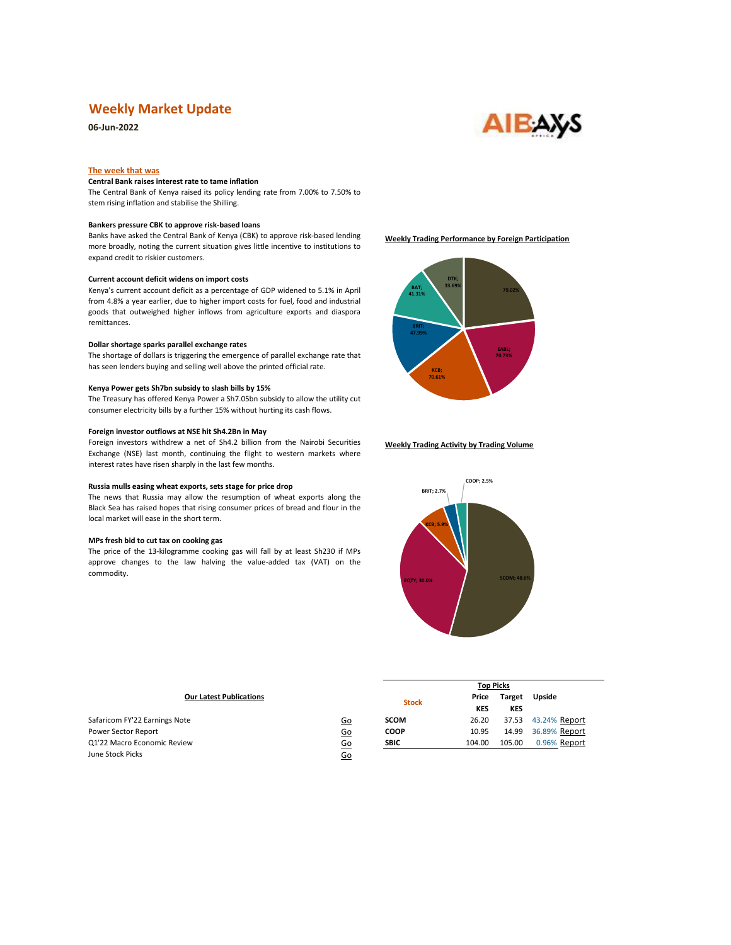### **Weekly Market Update**

**06-Jun-2022**

# **AIEAXS**

#### **The week that was**

#### **Central Bank raises interest rate to tame inflation**

The Central Bank of Kenya raised its policy lending rate from 7.00% to 7.50% to stem rising inflation and stabilise the Shilling.

#### **Bankers pressure CBK to approve risk-based loans**

Banks have asked the Central Bank of Kenya (CBK) to approve risk-based lending more broadly, noting the current situation gives little incentive to institutions to expand credit to riskier customers.

#### **Current account deficit widens on import costs**

Kenya's current account deficit as a percentage of GDP widened to 5.1% in April from 4.8% a year earlier, due to higher import costs for fuel, food and industrial goods that outweighed higher inflows from agriculture exports and diaspora remittances.

#### **Dollar shortage sparks parallel exchange rates**

The shortage of dollars is triggering the emergence of parallel exchange rate that has seen lenders buying and selling well above the printed official rate.

#### **Kenya Power gets Sh7bn subsidy to slash bills by 15%**

The Treasury has offered Kenya Power a Sh7.05bn subsidy to allow the utility cut consumer electricity bills by a further 15% without hurting its cash flows.

#### **Foreign investor outflows at NSE hit Sh4.2Bn in May**

Foreign investors withdrew a net of Sh4.2 billion from the Nairobi Securities Exchange (NSE) last month, continuing the flight to western markets where interest rates have risen sharply in the last few months.

#### **Russia mulls easing wheat exports, sets stage for price drop**

The news that Russia may allow the resumption of wheat exports along the Black Sea has raised hopes that rising consumer prices of bread and flour in the local market will ease in the short term.

#### **MPs fresh bid to cut tax on cooking gas**

The price of the 13-kilogramme cooking gas will fall by at least Sh230 if MPs approve changes to the law halving the value-added tax (VAT) on the commodity.





#### **Weekly Trading Activity by Trading Volume**



| <b>Our Latest Publications</b> |           | <b>Stock</b> | Price      | <b>Target</b> | Upside        |
|--------------------------------|-----------|--------------|------------|---------------|---------------|
|                                |           |              | <b>KES</b> | KES           |               |
| Safaricom FY'22 Earnings Note  | <u>Go</u> | <b>SCOM</b>  | 26.20      | 37.53         | 43.24% Report |
| Power Sector Report            | 60        | <b>COOP</b>  | 10.95      | 14.99         | 36.89% Report |
| Q1'22 Macro Economic Review    | 60        | <b>SBIC</b>  | 104.00     | 105.00        | 0.96% Report  |
| June Stock Picks               | <u>Go</u> |              |            |               |               |